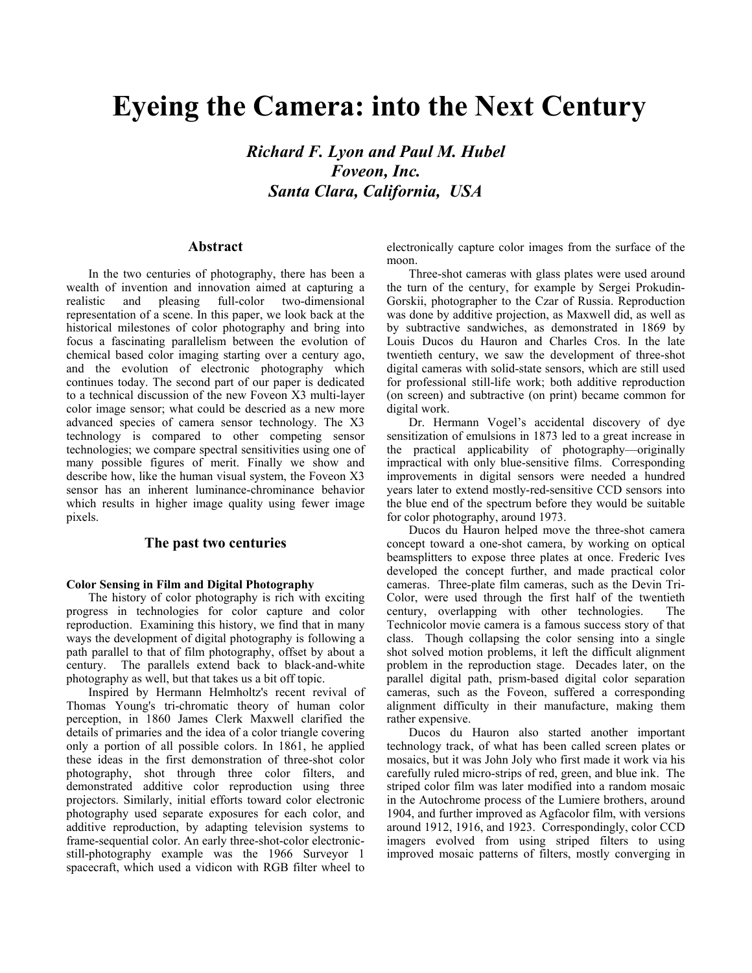# **Eyeing the Camera: into the Next Century**

*Richard F. Lyon and Paul M. Hubel Foveon, Inc. Santa Clara, California, USA* 

# **Abstract**

In the two centuries of photography, there has been a wealth of invention and innovation aimed at capturing a realistic and pleasing full-color two-dimensional representation of a scene. In this paper, we look back at the historical milestones of color photography and bring into focus a fascinating parallelism between the evolution of chemical based color imaging starting over a century ago, and the evolution of electronic photography which continues today. The second part of our paper is dedicated to a technical discussion of the new Foveon X3 multi-layer color image sensor; what could be descried as a new more advanced species of camera sensor technology. The X3 technology is compared to other competing sensor technologies; we compare spectral sensitivities using one of many possible figures of merit. Finally we show and describe how, like the human visual system, the Foveon X3 sensor has an inherent luminance-chrominance behavior which results in higher image quality using fewer image pixels.

### **The past two centuries**

#### **Color Sensing in Film and Digital Photography**

The history of color photography is rich with exciting progress in technologies for color capture and color reproduction. Examining this history, we find that in many ways the development of digital photography is following a path parallel to that of film photography, offset by about a century. The parallels extend back to black-and-white photography as well, but that takes us a bit off topic.

Inspired by Hermann Helmholtz's recent revival of Thomas Young's tri-chromatic theory of human color perception, in 1860 James Clerk Maxwell clarified the details of primaries and the idea of a color triangle covering only a portion of all possible colors. In 1861, he applied these ideas in the first demonstration of three-shot color photography, shot through three color filters, and demonstrated additive color reproduction using three projectors. Similarly, initial efforts toward color electronic photography used separate exposures for each color, and additive reproduction, by adapting television systems to frame-sequential color. An early three-shot-color electronicstill-photography example was the 1966 Surveyor 1 spacecraft, which used a vidicon with RGB filter wheel to

electronically capture color images from the surface of the moon.

Three-shot cameras with glass plates were used around the turn of the century, for example by Sergei Prokudin-Gorskii, photographer to the Czar of Russia. Reproduction was done by additive projection, as Maxwell did, as well as by subtractive sandwiches, as demonstrated in 1869 by Louis Ducos du Hauron and Charles Cros. In the late twentieth century, we saw the development of three-shot digital cameras with solid-state sensors, which are still used for professional still-life work; both additive reproduction (on screen) and subtractive (on print) became common for digital work.

Dr. Hermann Vogel's accidental discovery of dye sensitization of emulsions in 1873 led to a great increase in the practical applicability of photography—originally impractical with only blue-sensitive films. Corresponding improvements in digital sensors were needed a hundred years later to extend mostly-red-sensitive CCD sensors into the blue end of the spectrum before they would be suitable for color photography, around 1973.

Ducos du Hauron helped move the three-shot camera concept toward a one-shot camera, by working on optical beamsplitters to expose three plates at once. Frederic Ives developed the concept further, and made practical color cameras. Three-plate film cameras, such as the Devin Tri-Color, were used through the first half of the twentieth century, overlapping with other technologies. The Technicolor movie camera is a famous success story of that class. Though collapsing the color sensing into a single shot solved motion problems, it left the difficult alignment problem in the reproduction stage. Decades later, on the parallel digital path, prism-based digital color separation cameras, such as the Foveon, suffered a corresponding alignment difficulty in their manufacture, making them rather expensive.

Ducos du Hauron also started another important technology track, of what has been called screen plates or mosaics, but it was John Joly who first made it work via his carefully ruled micro-strips of red, green, and blue ink. The striped color film was later modified into a random mosaic in the Autochrome process of the Lumiere brothers, around 1904, and further improved as Agfacolor film, with versions around 1912, 1916, and 1923. Correspondingly, color CCD imagers evolved from using striped filters to using improved mosaic patterns of filters, mostly converging in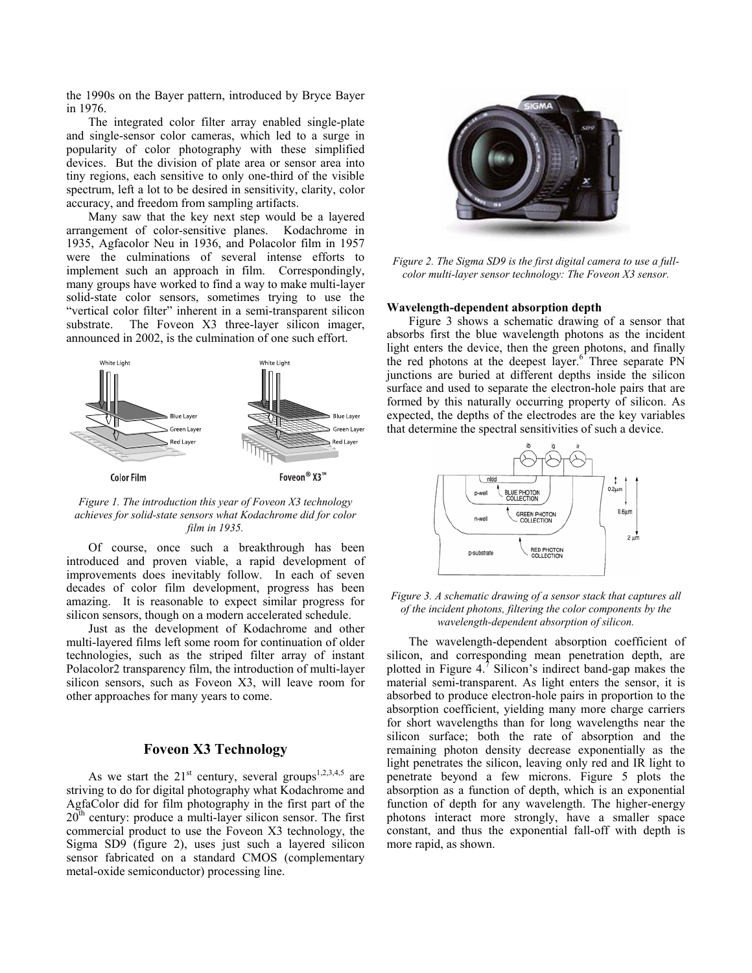the 1990s on the Bayer pattern, introduced by Bryce Bayer in 1976.

The integrated color filter array enabled single-plate and single-sensor color cameras, which led to a surge in popularity of color photography with these simplified devices. But the division of plate area or sensor area into tiny regions, each sensitive to only one-third of the visible spectrum, left a lot to be desired in sensitivity, clarity, color accuracy, and freedom from sampling artifacts.

Many saw that the key next step would be a layered arrangement of color-sensitive planes. Kodachrome in 1935, Agfacolor Neu in 1936, and Polacolor film in 1957 were the culminations of several intense efforts to implement such an approach in film. Correspondingly, many groups have worked to find a way to make multi-layer solid-state color sensors, sometimes trying to use the "vertical color filter" inherent in a semi-transparent silicon substrate. The Foveon X3 three-layer silicon imager, announced in 2002, is the culmination of one such effort.



*Figure 1. The introduction this year of Foveon X3 technology achieves for solid-state sensors what Kodachrome did for color film in 1935.* 

Of course, once such a breakthrough has been introduced and proven viable, a rapid development of improvements does inevitably follow. In each of seven decades of color film development, progress has been amazing. It is reasonable to expect similar progress for silicon sensors, though on a modern accelerated schedule.

*wavelength-dependent absorption of silicon.* Just as the development of Kodachrome and other multi-layered films left some room for continuation of older technologies, such as the striped filter array of instant Polacolor2 transparency film, the introduction of multi-layer silicon sensors, such as Foveon X3, will leave room for other approaches for many years to come.

# **Foveon X3 Technology**

As we start the  $21<sup>st</sup>$  century, several groups<sup>[1,](#page-6-0)[2,](#page-6-1)[3,](#page-6-2)[4,](#page-6-3)5</sup> are striving to do for digital photography what Kodachrome and AgfaColor did for film photography in the first part of the 20<sup>th</sup> century: produce a multi-layer silicon sensor. The first commercial product to use the Foveon X3 technology, the Sigma SD9 (figure 2), uses just such a layered silicon sensor fabricated on a standard CMOS (complementary metal-oxide semiconductor) processing line.



*Figure 2. The Sigma SD9 is the first digital camera to use a fullcolor multi-layer sensor technology: The Foveon X3 sensor.* 

#### **Wavelength-dependent absorption depth**

Figure 3 shows a schematic drawing of a sensor that absorbs first the blue wavelength photons as the incident light enters the device, then the green photons, and finally the red photons at the deepest layer.<sup>[6](#page-6-5)</sup> Three separate PN junctions are buried at different depths inside the silicon surface and used to separate the electron-hole pairs that are formed by this naturally occurring property of silicon. As expected, the depths of the electrodes are the key variables that determine the spectral sensitivities of such a device.



*Figure 3. A schematic drawing of a sensor stack that captures all of the incident photons, filtering the color components by the* 

The wavelength-dependent absorption coefficient of silicon, and corresponding mean penetration depth, are plottedin Figure 4.<sup> $\text{7}$ </sup> Silicon's indirect band-gap makes the material semi-transparent. As light enters the sensor, it is absorbed to produce electron-hole pairs in proportion to the absorption coefficient, yielding many more charge carriers for short wavelengths than for long wavelengths near the silicon surface; both the rate of absorption and the remaining photon density decrease exponentially as the light penetrates the silicon, leaving only red and IR light to penetrate beyond a few microns. Figure 5 plots the absorption as a function of depth, which is an exponential function of depth for any wavelength. The higher-energy photons interact more strongly, have a smaller space constant, and thus the exponential fall-off with depth is more rapid, as shown.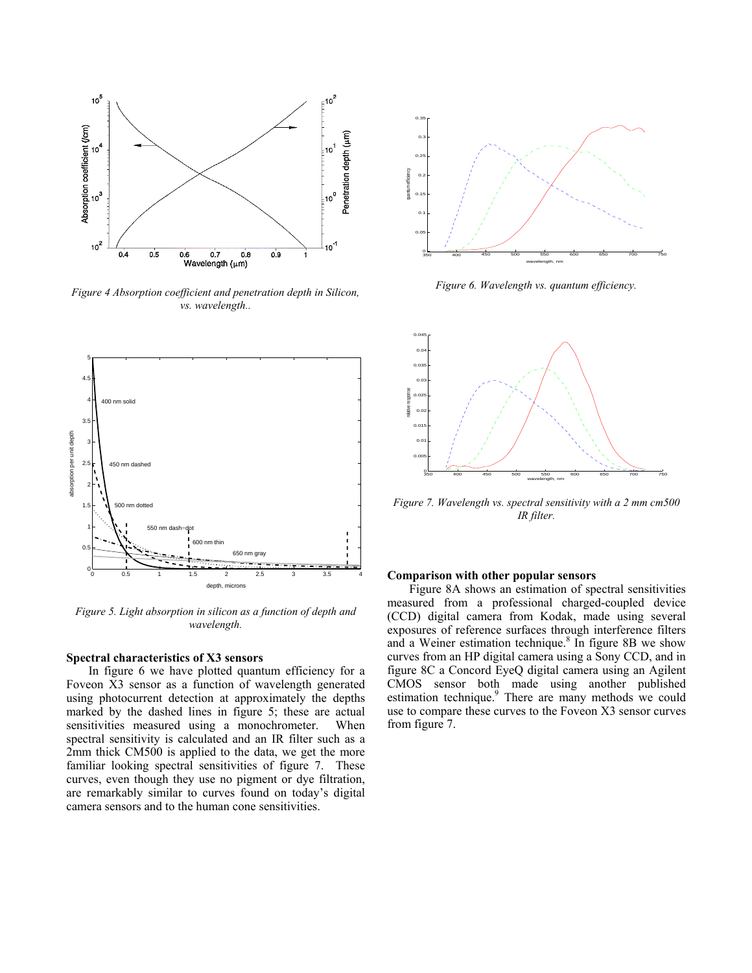

*Figure 6. Wavelength vs. quantum efficiency. Figure 4 Absorption coefficient and penetration depth in Silicon, vs. wavelength..* 



*Figure 5. Light absorption in silicon as a function of depth and wavelength.* 

#### **Spectral characteristics of X3 sensors**

In figure 6 we have plotted quantum efficiency for a Foveon X3 sensor as a function of wavelength generated using photocurrent detection at approximately the depths marked by the dashed lines in figure 5; these are actual sensitivities measured using a monochrometer. When spectral sensitivity is calculated and an IR filter such as a 2mm thick CM500 is applied to the data, we get the more familiar looking spectral sensitivities of figure 7. These curves, even though they use no pigment or dye filtration, are remarkably similar to curves found on today's digital camera sensors and to the human cone sensitivities.





*Figure 7. Wavelength vs. spectral sensitivity with a 2 mm cm500 IR filter.* 

#### **Comparison with other popular sensors**

Figure 8A shows an estimation of spectral sensitivities measured from a professional charged-coupled device (CCD) digital camera from Kodak, made using several exposures of reference surfaces through interference filters and a Weiner estimation technique. $8$  In figure 8B we show curves from an HP digital camera using a Sony CCD, and in figure 8C a Concord EyeQ digital camera using an Agilent CMOS sensor both made using another published estimation technique.<sup>9</sup> There are many methods we could use to compare these curves to the Foveon X3 sensor curves from figure 7.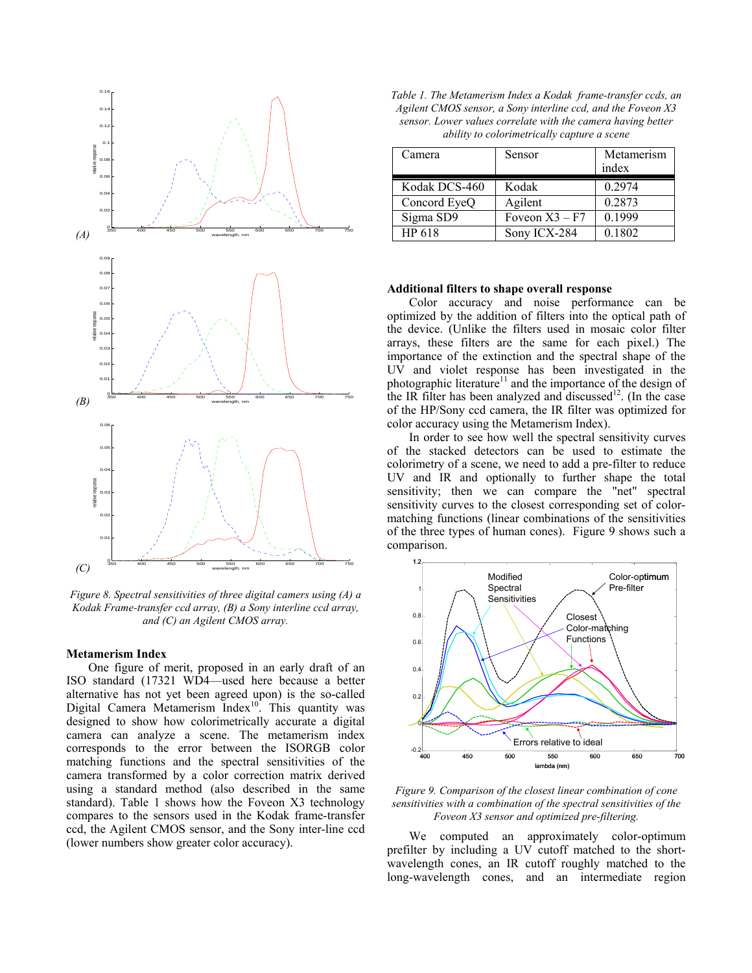

 *Figure 8. Spectral sensitivities of three digital camers using (A) a Kodak Frame-transfer ccd array, (B) a Sony interline ccd array, and (C) an Agilent CMOS array.* 

#### **Metamerism Index**

One figure of merit, proposed in an early draft of an ISO standard (17321 WD4—used here because a better alternative has not yet been agreed upon) is the so-called Digital Camera Metamerism Index<sup>10</sup>. This quantity was designed to show how colorimetrically accurate a digital camera can analyze a scene. The metamerism index corresponds to the error between the ISORGB color matching functions and the spectral sensitivities of the camera transformed by a color correction matrix derived using a standard method (also described in the same standard). Table 1 shows how the Foveon X3 technology compares to the sensors used in the Kodak frame-transfer ccd, the Agilent CMOS sensor, and the Sony inter-line ccd (lower numbers show greater color accuracy).

| Table 1. The Metamerism Index a Kodak frame-transfer ccds, an |
|---------------------------------------------------------------|
| Agilent CMOS sensor, a Sony interline ccd, and the Foveon X3  |
| sensor. Lower values correlate with the camera having better  |
| ability to colorimetrically capture a scene                   |

| Camera        | Sensor           | Metamerism |
|---------------|------------------|------------|
|               |                  | index      |
| Kodak DCS-460 | Kodak            | 0.2974     |
| Concord EyeQ  | Agilent          | 0.2873     |
| Sigma SD9     | Foveon $X3 - F7$ | 0.1999     |
| HP 618        | Sony ICX-284     | 0.1802     |

#### **Additional filters to shape overall response**

Color accuracy and noise performance can be optimized by the addition of filters into the optical path of the device. (Unlike the filters used in mosaic color filter arrays, these filters are the same for each pixel.) The importance of the extinction and the spectral shape of the UV and violet response has been investigated in the photographic literature<sup>11</sup> and the importance of the design of the IR filter has been analyzed and discussed<sup>12</sup>. (In the case of the HP/Sony ccd camera, the IR filter was optimized for color accuracy using the Metamerism Index).

In order to see how well the spectral sensitivity curves of the stacked detectors can be used to estimate the colorimetry of a scene, we need to add a pre-filter to reduce UV and IR and optionally to further shape the total sensitivity; then we can compare the "net" spectral sensitivity curves to the closest corresponding set of colormatching functions (linear combinations of the sensitivities of the three types of human cones). Figure 9 shows such a comparison.



*Figure 9. Comparison of the closest linear combination of cone sensitivities with a combination of the spectral sensitivities of the Foveon X3 sensor and optimized pre-filtering.* 

We computed an approximately color-optimum prefilter by including a UV cutoff matched to the shortwavelength cones, an IR cutoff roughly matched to the long-wavelength cones, and an intermediate region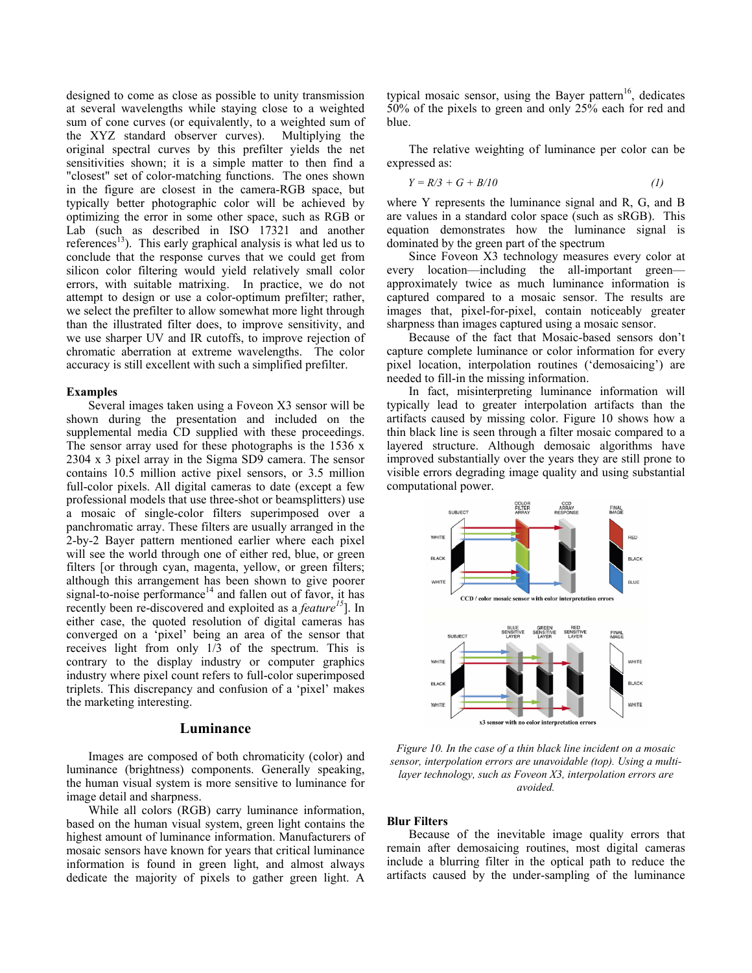designed to come as close as possible to unity transmission at several wavelengths while staying close to a weighted sum of cone curves (or equivalently, to a weighted sum of the XYZ standard observer curves). Multiplying the original spectral curves by this prefilter yields the net sensitivities shown; it is a simple matter to then find a "closest" set of color-matching functions. The ones shown in the figure are closest in the camera-RGB space, but typically better photographic color will be achieved by optimizing the error in some other space, such as RGB or Lab (such as described in ISO 17321 and another references<sup>13</sup>). This early graphical analysis is what led us to conclude that the response curves that we could get from silicon color filtering would yield relatively small color errors, with suitable matrixing. In practice, we do not attempt to design or use a color-optimum prefilter; rather, we select the prefilter to allow somewhat more light through than the illustrated filter does, to improve sensitivity, and we use sharper UV and IR cutoffs, to improve rejection of chromatic aberration at extreme wavelengths. The color accuracy is still excellent with such a simplified prefilter.

#### **Examples**

Several images taken using a Foveon X3 sensor will be shown during the presentation and included on the supplemental media CD supplied with these proceedings. The sensor array used for these photographs is the  $1536 \times$ 2304 x 3 pixel array in the Sigma SD9 camera. The sensor contains 10.5 million active pixel sensors, or 3.5 million full-color pixels. All digital cameras to date (except a few professional models that use three-shot or beamsplitters) use a mosaic of single-color filters superimposed over a panchromatic array. These filters are usually arranged in the 2-by-2 Bayer pattern mentioned earlier where each pixel will see the world through one of either red, blue, or green filters [or through cyan, magenta, yellow, or green filters; although this arrangement has been shown to give poorer signal-to-noise performance $14$  and fallen out of favor, it has recently been re-discovered and exploited as a *feature[15](#page-6-14)*]. In either case, the quoted resolution of digital cameras has converged on a 'pixel' being an area of the sensor that receives light from only 1/3 of the spectrum. This is contrary to the display industry or computer graphics industry where pixel count refers to full-color superimposed triplets. This discrepancy and confusion of a 'pixel' makes the marketing interesting.

# **Luminance**

Images are composed of both chromaticity (color) and luminance (brightness) components. Generally speaking, the human visual system is more sensitive to luminance for image detail and sharpness.

While all colors (RGB) carry luminance information, based on the human visual system, green light contains the highest amount of luminance information. Manufacturers of mosaic sensors have known for years that critical luminance information is found in green light, and almost always dedicate the majority of pixels to gather green light. A

typical mosaic sensor, using the Bayer pattern<sup>16</sup>, dedicates 50% of the pixels to green and only 25% each for red and blue.

The relative weighting of luminance per color can be expressed as:

$$
Y = R/3 + G + B/10 \tag{1}
$$

where Y represents the luminance signal and R, G, and B are values in a standard color space (such as sRGB). This equation demonstrates how the luminance signal is dominated by the green part of the spectrum

Since Foveon X3 technology measures every color at every location—including the all-important green approximately twice as much luminance information is captured compared to a mosaic sensor. The results are images that, pixel-for-pixel, contain noticeably greater sharpness than images captured using a mosaic sensor.

Because of the fact that Mosaic-based sensors don't capture complete luminance or color information for every pixel location, interpolation routines ('demosaicing') are needed to fill-in the missing information.

In fact, misinterpreting luminance information will typically lead to greater interpolation artifacts than the artifacts caused by missing color. Figure 10 shows how a thin black line is seen through a filter mosaic compared to a layered structure. Although demosaic algorithms have improved substantially over the years they are still prone to visible errors degrading image quality and using substantial computational power.



*Figure 10. In the case of a thin black line incident on a mosaic sensor, interpolation errors are unavoidable (top). Using a multilayer technology, such as Foveon X3, interpolation errors are avoided.* 

#### **Blur Filters**

Because of the inevitable image quality errors that remain after demosaicing routines, most digital cameras include a blurring filter in the optical path to reduce the artifacts caused by the under-sampling of the luminance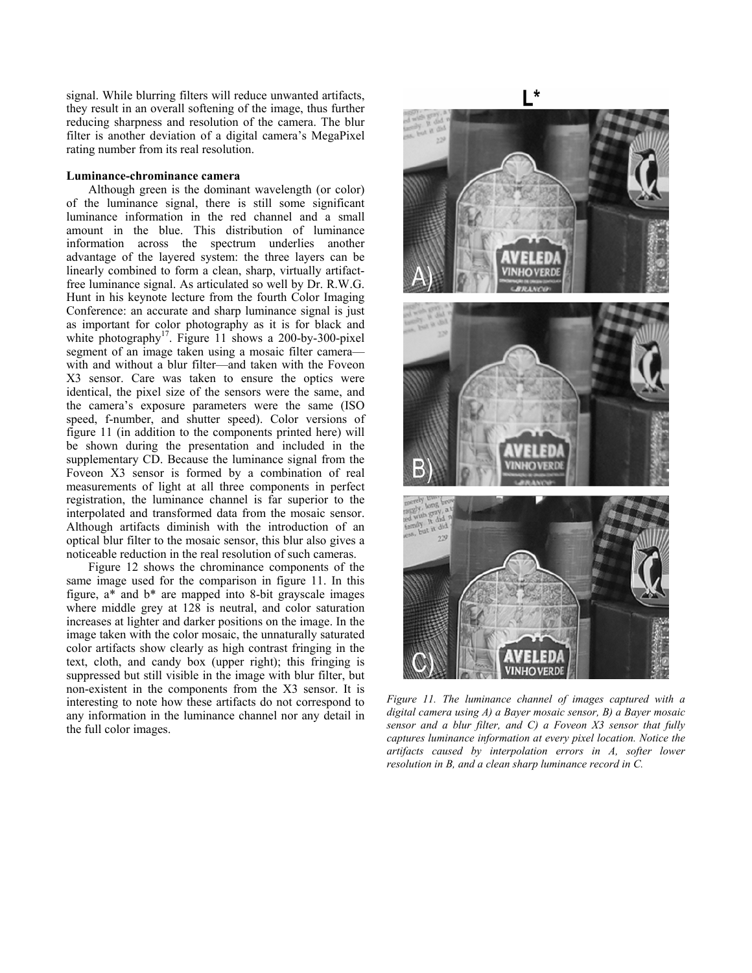signal. While blurring filters will reduce unwanted artifacts, they result in an overall softening of the image, thus further reducing sharpness and resolution of the camera. The blur filter is another deviation of a digital camera's MegaPixel rating number from its real resolution.

## **Luminance-chrominance camera**

Although green is the dominant wavelength (or color) of the luminance signal, there is still some significant luminance information in the red channel and a small amount in the blue. This distribution of luminance information across the spectrum underlies another advantage of the layered system: the three layers can be linearly combined to form a clean, sharp, virtually artifactfree luminance signal. As articulated so well by Dr. R.W.G. Hunt in his keynote lecture from the fourth Color Imaging Conference: an accurate and sharp luminance signal is just as important for color photography as it is for black and white photography<sup>17</sup>. Figure 11 shows a 200-by-300-pixel segment of an image taken using a mosaic filter camera with and without a blur filter—and taken with the Foveon X3 sensor. Care was taken to ensure the optics were identical, the pixel size of the sensors were the same, and the camera's exposure parameters were the same (ISO speed, f-number, and shutter speed). Color versions of figure 11 (in addition to the components printed here) will be shown during the presentation and included in the supplementary CD. Because the luminance signal from the Foveon X3 sensor is formed by a combination of real measurements of light at all three components in perfect registration, the luminance channel is far superior to the interpolated and transformed data from the mosaic sensor. Although artifacts diminish with the introduction of an optical blur filter to the mosaic sensor, this blur also gives a noticeable reduction in the real resolution of such cameras.

Figure 12 shows the chrominance components of the same image used for the comparison in figure 11. In this figure, a\* and b\* are mapped into 8-bit grayscale images where middle grey at 128 is neutral, and color saturation increases at lighter and darker positions on the image. In the image taken with the color mosaic, the unnaturally saturated color artifacts show clearly as high contrast fringing in the text, cloth, and candy box (upper right); this fringing is suppressed but still visible in the image with blur filter, but non-existent in the components from the X3 sensor. It is interesting to note how these artifacts do not correspond to any information in the luminance channel nor any detail in the full color images.

**VINHO VERD** 

*Figure 11. The luminance channel of images captured with a digital camera using A) a Bayer mosaic sensor, B) a Bayer mosaic sensor and a blur filter, and C) a Foveon X3 sensor that fully captures luminance information at every pixel location. Notice the artifacts caused by interpolation errors in A, softer lower resolution in B, and a clean sharp luminance record in C.*